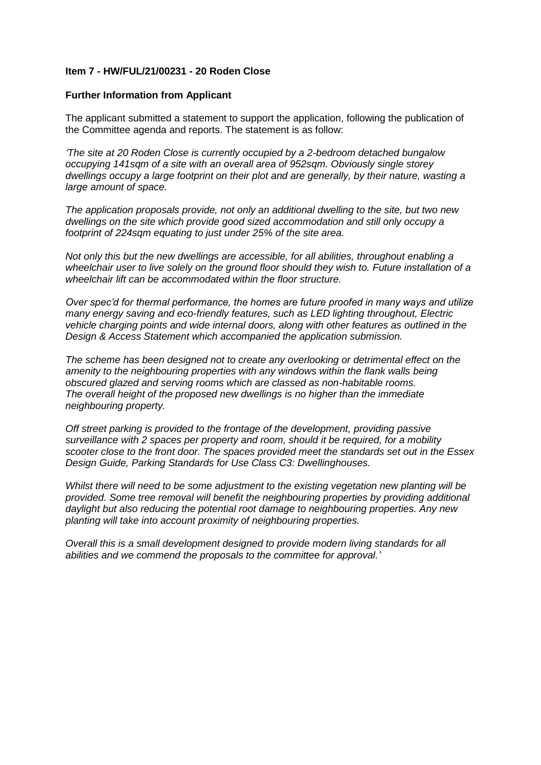## **Item 7 - HW/FUL/21/00231 - 20 Roden Close**

## **Further Information from Applicant**

The applicant submitted a statement to support the application, following the publication of the Committee agenda and reports. The statement is as follow:

*'The site at 20 Roden Close is currently occupied by a 2-bedroom detached bungalow occupying 141sqm of a site with an overall area of 952sqm. Obviously single storey dwellings occupy a large footprint on their plot and are generally, by their nature, wasting a large amount of space.*

*The application proposals provide, not only an additional dwelling to the site, but two new dwellings on the site which provide good sized accommodation and still only occupy a footprint of 224sqm equating to just under 25% of the site area.* 

*Not only this but the new dwellings are accessible, for all abilities, throughout enabling a wheelchair user to live solely on the ground floor should they wish to. Future installation of a wheelchair lift can be accommodated within the floor structure.*

*Over spec'd for thermal performance, the homes are future proofed in many ways and utilize many energy saving and eco-friendly features, such as LED lighting throughout, Electric vehicle charging points and wide internal doors, along with other features as outlined in the Design & Access Statement which accompanied the application submission.*

*The scheme has been designed not to create any overlooking or detrimental effect on the*  amenity to the neighbouring properties with any windows within the flank walls being *obscured glazed and serving rooms which are classed as non-habitable rooms. The overall height of the proposed new dwellings is no higher than the immediate neighbouring property.*

*Off street parking is provided to the frontage of the development, providing passive surveillance with 2 spaces per property and room, should it be required, for a mobility scooter close to the front door. The spaces provided meet the standards set out in the Essex Design Guide, Parking Standards for Use Class C3: Dwellinghouses.*

*Whilst there will need to be some adjustment to the existing vegetation new planting will be provided. Some tree removal will benefit the neighbouring properties by providing additional daylight but also reducing the potential root damage to neighbouring properties. Any new planting will take into account proximity of neighbouring properties.*

*Overall this is a small development designed to provide modern living standards for all abilities and we commend the proposals to the committee for approval.'*